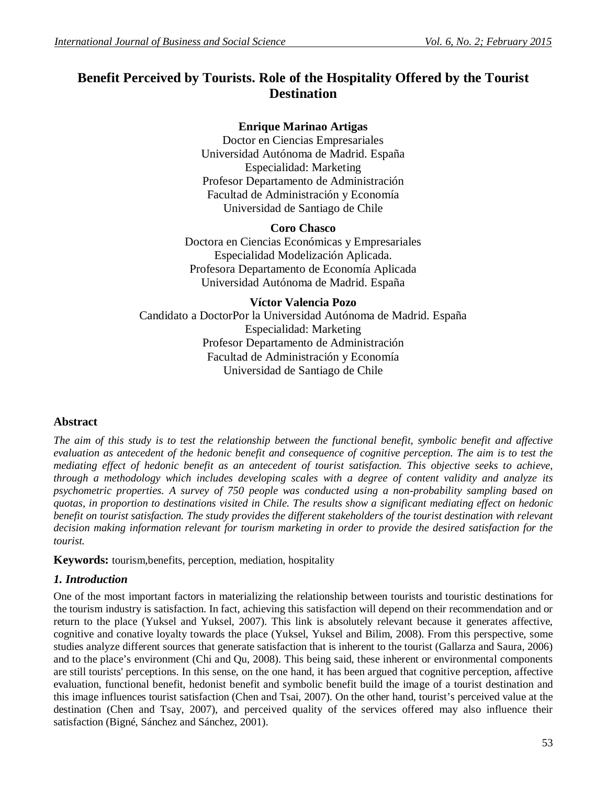# **Benefit Perceived by Tourists. Role of the Hospitality Offered by the Tourist Destination**

# **Enrique Marinao Artigas**

Doctor en Ciencias Empresariales Universidad Autónoma de Madrid. España Especialidad: Marketing Profesor Departamento de Administración Facultad de Administración y Economía Universidad de Santiago de Chile

# **Coro Chasco**

Doctora en Ciencias Económicas y Empresariales Especialidad Modelización Aplicada. Profesora Departamento de Economía Aplicada Universidad Autónoma de Madrid. España

# **Víctor Valencia Pozo**

Candidato a DoctorPor la Universidad Autónoma de Madrid. España Especialidad: Marketing Profesor Departamento de Administración Facultad de Administración y Economía Universidad de Santiago de Chile

# **Abstract**

*The aim of this study is to test the relationship between the functional benefit, symbolic benefit and affective evaluation as antecedent of the hedonic benefit and consequence of cognitive perception. The aim is to test the mediating effect of hedonic benefit as an antecedent of tourist satisfaction. This objective seeks to achieve, through a methodology which includes developing scales with a degree of content validity and analyze its psychometric properties. A survey of 750 people was conducted using a non-probability sampling based on quotas, in proportion to destinations visited in Chile. The results show a significant mediating effect on hedonic benefit on tourist satisfaction. The study provides the different stakeholders of the tourist destination with relevant decision making information relevant for tourism marketing in order to provide the desired satisfaction for the tourist.*

**Keywords:** tourism,benefits, perception, mediation, hospitality

# *1. Introduction*

One of the most important factors in materializing the relationship between tourists and touristic destinations for the tourism industry is satisfaction. In fact, achieving this satisfaction will depend on their recommendation and or return to the place (Yuksel and Yuksel, 2007). This link is absolutely relevant because it generates affective, cognitive and conative loyalty towards the place (Yuksel, Yuksel and Bilim, 2008). From this perspective, some studies analyze different sources that generate satisfaction that is inherent to the tourist (Gallarza and Saura, 2006) and to the place's environment (Chi and Qu, 2008). This being said, these inherent or environmental components are still tourists' perceptions. In this sense, on the one hand, it has been argued that cognitive perception, affective evaluation, functional benefit, hedonist benefit and symbolic benefit build the image of a tourist destination and this image influences tourist satisfaction (Chen and Tsai, 2007). On the other hand, tourist's perceived value at the destination (Chen and Tsay, 2007), and perceived quality of the services offered may also influence their satisfaction (Bigné, Sánchez and Sánchez, 2001).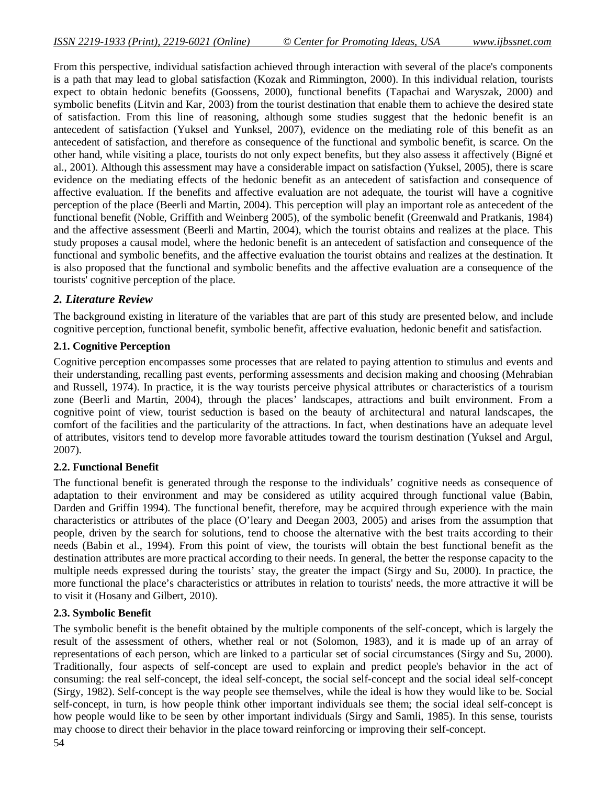From this perspective, individual satisfaction achieved through interaction with several of the place's components is a path that may lead to global satisfaction (Kozak and Rimmington, 2000). In this individual relation, tourists expect to obtain hedonic benefits (Goossens, 2000), functional benefits (Tapachai and Waryszak, 2000) and symbolic benefits (Litvin and Kar, 2003) from the tourist destination that enable them to achieve the desired state of satisfaction. From this line of reasoning, although some studies suggest that the hedonic benefit is an antecedent of satisfaction (Yuksel and Yunksel, 2007), evidence on the mediating role of this benefit as an antecedent of satisfaction, and therefore as consequence of the functional and symbolic benefit, is scarce. On the other hand, while visiting a place, tourists do not only expect benefits, but they also assess it affectively (Bigné et al., 2001). Although this assessment may have a considerable impact on satisfaction (Yuksel, 2005), there is scare evidence on the mediating effects of the hedonic benefit as an antecedent of satisfaction and consequence of affective evaluation. If the benefits and affective evaluation are not adequate, the tourist will have a cognitive perception of the place (Beerli and Martin, 2004). This perception will play an important role as antecedent of the functional benefit (Noble, Griffith and Weinberg 2005), of the symbolic benefit (Greenwald and Pratkanis, 1984) and the affective assessment (Beerli and Martin, 2004), which the tourist obtains and realizes at the place. This study proposes a causal model, where the hedonic benefit is an antecedent of satisfaction and consequence of the functional and symbolic benefits, and the affective evaluation the tourist obtains and realizes at the destination. It is also proposed that the functional and symbolic benefits and the affective evaluation are a consequence of the tourists' cognitive perception of the place.

### *2. Literature Review*

The background existing in literature of the variables that are part of this study are presented below, and include cognitive perception, functional benefit, symbolic benefit, affective evaluation, hedonic benefit and satisfaction.

### **2.1. Cognitive Perception**

Cognitive perception encompasses some processes that are related to paying attention to stimulus and events and their understanding, recalling past events, performing assessments and decision making and choosing (Mehrabian and Russell, 1974). In practice, it is the way tourists perceive physical attributes or characteristics of a tourism zone (Beerli and Martin, 2004), through the places' landscapes, attractions and built environment. From a cognitive point of view, tourist seduction is based on the beauty of architectural and natural landscapes, the comfort of the facilities and the particularity of the attractions. In fact, when destinations have an adequate level of attributes, visitors tend to develop more favorable attitudes toward the tourism destination (Yuksel and Argul, 2007).

#### **2.2. Functional Benefit**

The functional benefit is generated through the response to the individuals' cognitive needs as consequence of adaptation to their environment and may be considered as utility acquired through functional value (Babin, Darden and Griffin 1994). The functional benefit, therefore, may be acquired through experience with the main characteristics or attributes of the place (O'leary and Deegan 2003, 2005) and arises from the assumption that people, driven by the search for solutions, tend to choose the alternative with the best traits according to their needs (Babin et al., 1994). From this point of view, the tourists will obtain the best functional benefit as the destination attributes are more practical according to their needs. In general, the better the response capacity to the multiple needs expressed during the tourists' stay, the greater the impact (Sirgy and Su, 2000). In practice, the more functional the place's characteristics or attributes in relation to tourists' needs, the more attractive it will be to visit it (Hosany and Gilbert, 2010).

#### **2.3. Symbolic Benefit**

The symbolic benefit is the benefit obtained by the multiple components of the self-concept, which is largely the result of the assessment of others, whether real or not (Solomon, 1983), and it is made up of an array of representations of each person, which are linked to a particular set of social circumstances (Sirgy and Su, 2000). Traditionally, four aspects of self-concept are used to explain and predict people's behavior in the act of consuming: the real self-concept, the ideal self-concept, the social self-concept and the social ideal self-concept (Sirgy, 1982). Self-concept is the way people see themselves, while the ideal is how they would like to be. Social self-concept, in turn, is how people think other important individuals see them; the social ideal self-concept is how people would like to be seen by other important individuals (Sirgy and Samli, 1985). In this sense, tourists may choose to direct their behavior in the place toward reinforcing or improving their self-concept.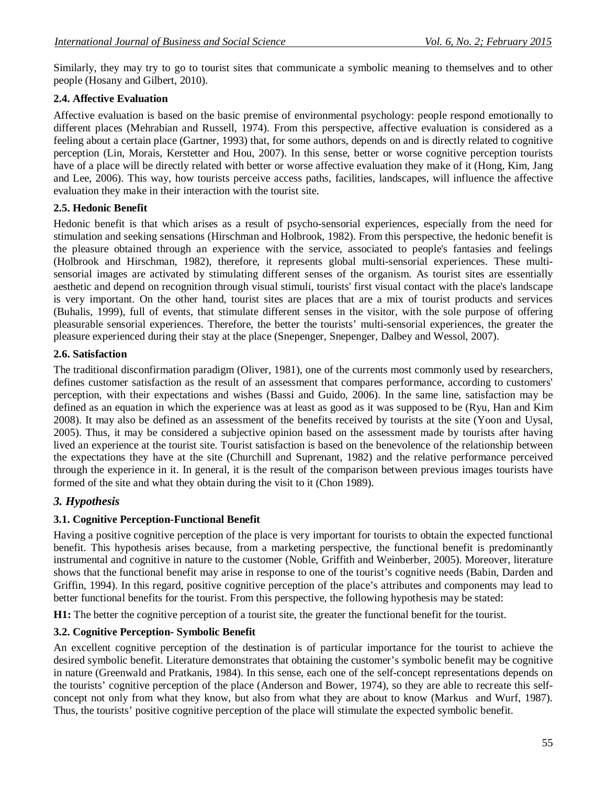Similarly, they may try to go to tourist sites that communicate a symbolic meaning to themselves and to other people (Hosany and Gilbert, 2010).

# **2.4. Affective Evaluation**

Affective evaluation is based on the basic premise of environmental psychology: people respond emotionally to different places (Mehrabian and Russell, 1974). From this perspective, affective evaluation is considered as a feeling about a certain place (Gartner, 1993) that, for some authors, depends on and is directly related to cognitive perception (Lin, Morais, Kerstetter and Hou, 2007). In this sense, better or worse cognitive perception tourists have of a place will be directly related with better or worse affective evaluation they make of it (Hong, Kim, Jang and Lee, 2006). This way, how tourists perceive access paths, facilities, landscapes, will influence the affective evaluation they make in their interaction with the tourist site.

### **2.5. Hedonic Benefit**

Hedonic benefit is that which arises as a result of psycho-sensorial experiences, especially from the need for stimulation and seeking sensations (Hirschman and Holbrook, 1982). From this perspective, the hedonic benefit is the pleasure obtained through an experience with the service, associated to people's fantasies and feelings (Holbrook and Hirschman, 1982), therefore, it represents global multi-sensorial experiences. These multisensorial images are activated by stimulating different senses of the organism. As tourist sites are essentially aesthetic and depend on recognition through visual stimuli, tourists' first visual contact with the place's landscape is very important. On the other hand, tourist sites are places that are a mix of tourist products and services (Buhalis, 1999), full of events, that stimulate different senses in the visitor, with the sole purpose of offering pleasurable sensorial experiences. Therefore, the better the tourists' multi-sensorial experiences, the greater the pleasure experienced during their stay at the place (Snepenger, Snepenger, Dalbey and Wessol, 2007).

### **2.6. Satisfaction**

The traditional disconfirmation paradigm (Oliver, 1981), one of the currents most commonly used by researchers, defines customer satisfaction as the result of an assessment that compares performance, according to customers' perception, with their expectations and wishes (Bassi and Guido, 2006). In the same line, satisfaction may be defined as an equation in which the experience was at least as good as it was supposed to be (Ryu, Han and Kim 2008). It may also be defined as an assessment of the benefits received by tourists at the site (Yoon and Uysal, 2005). Thus, it may be considered a subjective opinion based on the assessment made by tourists after having lived an experience at the tourist site. Tourist satisfaction is based on the benevolence of the relationship between the expectations they have at the site (Churchill and Suprenant, 1982) and the relative performance perceived through the experience in it. In general, it is the result of the comparison between previous images tourists have formed of the site and what they obtain during the visit to it (Chon 1989).

# *3. Hypothesis*

# **3.1. Cognitive Perception-Functional Benefit**

Having a positive cognitive perception of the place is very important for tourists to obtain the expected functional benefit. This hypothesis arises because, from a marketing perspective, the functional benefit is predominantly instrumental and cognitive in nature to the customer (Noble, Griffith and Weinberber, 2005). Moreover, literature shows that the functional benefit may arise in response to one of the tourist's cognitive needs (Babin, Darden and Griffin, 1994). In this regard, positive cognitive perception of the place's attributes and components may lead to better functional benefits for the tourist. From this perspective, the following hypothesis may be stated:

**H1:** The better the cognitive perception of a tourist site, the greater the functional benefit for the tourist.

# **3.2. Cognitive Perception- Symbolic Benefit**

An excellent cognitive perception of the destination is of particular importance for the tourist to achieve the desired symbolic benefit. Literature demonstrates that obtaining the customer's symbolic benefit may be cognitive in nature (Greenwald and Pratkanis, 1984). In this sense, each one of the self-concept representations depends on the tourists' cognitive perception of the place (Anderson and Bower, 1974), so they are able to recreate this selfconcept not only from what they know, but also from what they are about to know (Markus and Wurf, 1987). Thus, the tourists' positive cognitive perception of the place will stimulate the expected symbolic benefit.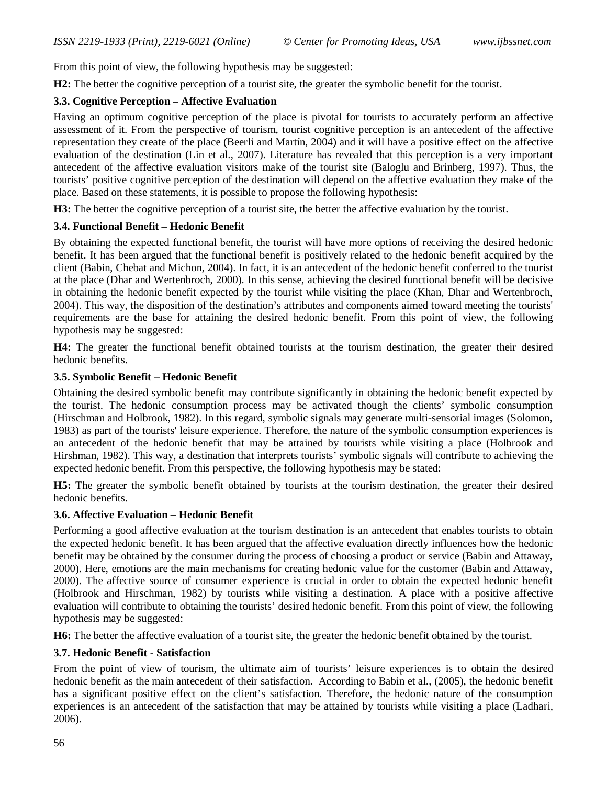From this point of view, the following hypothesis may be suggested:

**H2:** The better the cognitive perception of a tourist site, the greater the symbolic benefit for the tourist.

### **3.3. Cognitive Perception – Affective Evaluation**

Having an optimum cognitive perception of the place is pivotal for tourists to accurately perform an affective assessment of it. From the perspective of tourism, tourist cognitive perception is an antecedent of the affective representation they create of the place (Beerli and Martín, 2004) and it will have a positive effect on the affective evaluation of the destination (Lin et al., 2007). Literature has revealed that this perception is a very important antecedent of the affective evaluation visitors make of the tourist site (Baloglu and Brinberg, 1997). Thus, the tourists' positive cognitive perception of the destination will depend on the affective evaluation they make of the place. Based on these statements, it is possible to propose the following hypothesis:

**H3:** The better the cognitive perception of a tourist site, the better the affective evaluation by the tourist.

### **3.4. Functional Benefit – Hedonic Benefit**

By obtaining the expected functional benefit, the tourist will have more options of receiving the desired hedonic benefit. It has been argued that the functional benefit is positively related to the hedonic benefit acquired by the client (Babin, Chebat and Michon, 2004). In fact, it is an antecedent of the hedonic benefit conferred to the tourist at the place (Dhar and Wertenbroch, 2000). In this sense, achieving the desired functional benefit will be decisive in obtaining the hedonic benefit expected by the tourist while visiting the place (Khan, Dhar and Wertenbroch, 2004). This way, the disposition of the destination's attributes and components aimed toward meeting the tourists' requirements are the base for attaining the desired hedonic benefit. From this point of view, the following hypothesis may be suggested:

**H4:** The greater the functional benefit obtained tourists at the tourism destination, the greater their desired hedonic benefits.

### **3.5. Symbolic Benefit – Hedonic Benefit**

Obtaining the desired symbolic benefit may contribute significantly in obtaining the hedonic benefit expected by the tourist. The hedonic consumption process may be activated though the clients' symbolic consumption (Hirschman and Holbrook, 1982). In this regard, symbolic signals may generate multi-sensorial images (Solomon, 1983) as part of the tourists' leisure experience. Therefore, the nature of the symbolic consumption experiences is an antecedent of the hedonic benefit that may be attained by tourists while visiting a place (Holbrook and Hirshman, 1982). This way, a destination that interprets tourists' symbolic signals will contribute to achieving the expected hedonic benefit. From this perspective, the following hypothesis may be stated:

**H5:** The greater the symbolic benefit obtained by tourists at the tourism destination, the greater their desired hedonic benefits.

#### **3.6. Affective Evaluation – Hedonic Benefit**

Performing a good affective evaluation at the tourism destination is an antecedent that enables tourists to obtain the expected hedonic benefit. It has been argued that the affective evaluation directly influences how the hedonic benefit may be obtained by the consumer during the process of choosing a product or service (Babin and Attaway, 2000). Here, emotions are the main mechanisms for creating hedonic value for the customer (Babin and Attaway, 2000). The affective source of consumer experience is crucial in order to obtain the expected hedonic benefit (Holbrook and Hirschman, 1982) by tourists while visiting a destination. A place with a positive affective evaluation will contribute to obtaining the tourists' desired hedonic benefit. From this point of view, the following hypothesis may be suggested:

**H6:** The better the affective evaluation of a tourist site, the greater the hedonic benefit obtained by the tourist.

#### **3.7. Hedonic Benefit - Satisfaction**

From the point of view of tourism, the ultimate aim of tourists' leisure experiences is to obtain the desired hedonic benefit as the main antecedent of their satisfaction. According to Babin et al., (2005), the hedonic benefit has a significant positive effect on the client's satisfaction. Therefore, the hedonic nature of the consumption experiences is an antecedent of the satisfaction that may be attained by tourists while visiting a place (Ladhari, 2006).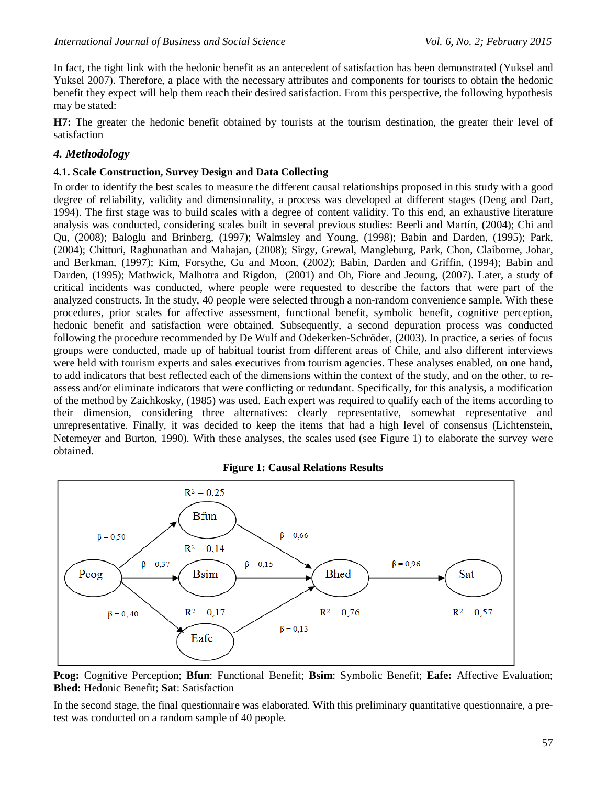In fact, the tight link with the hedonic benefit as an antecedent of satisfaction has been demonstrated (Yuksel and Yuksel 2007). Therefore, a place with the necessary attributes and components for tourists to obtain the hedonic benefit they expect will help them reach their desired satisfaction. From this perspective, the following hypothesis may be stated:

**H7:** The greater the hedonic benefit obtained by tourists at the tourism destination, the greater their level of satisfaction

### *4. Methodology*

### **4.1. Scale Construction, Survey Design and Data Collecting**

In order to identify the best scales to measure the different causal relationships proposed in this study with a good degree of reliability, validity and dimensionality, a process was developed at different stages (Deng and Dart, 1994). The first stage was to build scales with a degree of content validity. To this end, an exhaustive literature analysis was conducted, considering scales built in several previous studies: Beerli and Martín, (2004); Chi and Qu, (2008); Baloglu and Brinberg, (1997); Walmsley and Young, (1998); Babin and Darden, (1995); Park, (2004); Chitturi, Raghunathan and Mahajan, (2008); Sirgy, Grewal, Mangleburg, Park, Chon, Claiborne, Johar, and Berkman, (1997); Kim, Forsythe, Gu and Moon, (2002); Babin, Darden and Griffin, (1994); Babin and Darden, (1995); Mathwick, Malhotra and Rigdon, (2001) and Oh, Fiore and Jeoung, (2007). Later, a study of critical incidents was conducted, where people were requested to describe the factors that were part of the analyzed constructs. In the study, 40 people were selected through a non-random convenience sample. With these procedures, prior scales for affective assessment, functional benefit, symbolic benefit, cognitive perception, hedonic benefit and satisfaction were obtained. Subsequently, a second depuration process was conducted following the procedure recommended by De Wulf and Odekerken-Schröder, (2003). In practice, a series of focus groups were conducted, made up of habitual tourist from different areas of Chile, and also different interviews were held with tourism experts and sales executives from tourism agencies. These analyses enabled, on one hand, to add indicators that best reflected each of the dimensions within the context of the study, and on the other, to reassess and/or eliminate indicators that were conflicting or redundant. Specifically, for this analysis, a modification of the method by Zaichkosky, (1985) was used. Each expert was required to qualify each of the items according to their dimension, considering three alternatives: clearly representative, somewhat representative and unrepresentative. Finally, it was decided to keep the items that had a high level of consensus (Lichtenstein, Netemeyer and Burton, 1990). With these analyses, the scales used (see Figure 1) to elaborate the survey were obtained.



#### **Figure 1: Causal Relations Results**

In the second stage, the final questionnaire was elaborated. With this preliminary quantitative questionnaire, a pretest was conducted on a random sample of 40 people.

**Pcog:** Cognitive Perception; **Bfun**: Functional Benefit; **Bsim**: Symbolic Benefit; **Eafe:** Affective Evaluation; **Bhed:** Hedonic Benefit; **Sat**: Satisfaction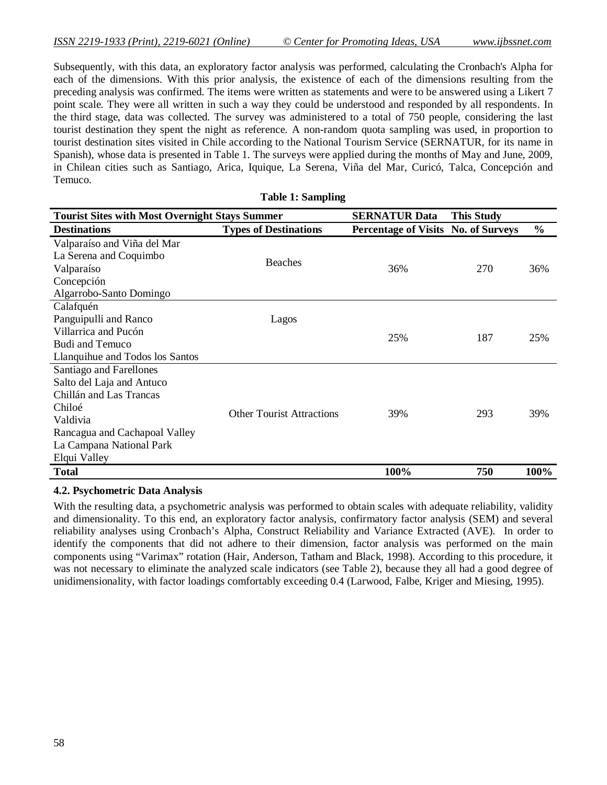Subsequently, with this data, an exploratory factor analysis was performed, calculating the Cronbach's Alpha for each of the dimensions. With this prior analysis, the existence of each of the dimensions resulting from the preceding analysis was confirmed. The items were written as statements and were to be answered using a Likert 7 point scale. They were all written in such a way they could be understood and responded by all respondents. In the third stage, data was collected. The survey was administered to a total of 750 people, considering the last tourist destination they spent the night as reference. A non-random quota sampling was used, in proportion to tourist destination sites visited in Chile according to the National Tourism Service (SERNATUR, for its name in Spanish), whose data is presented in Table 1. The surveys were applied during the months of May and June, 2009, in Chilean cities such as Santiago, Arica, Iquique, La Serena, Viña del Mar, Curicó, Talca, Concepción and Temuco.

**Table 1: Sampling**

| Table 1: Sampling               |                                                       |                                            |                   |               |  |  |  |
|---------------------------------|-------------------------------------------------------|--------------------------------------------|-------------------|---------------|--|--|--|
|                                 | <b>Tourist Sites with Most Overnight Stays Summer</b> |                                            | <b>This Study</b> |               |  |  |  |
| <b>Destinations</b>             | <b>Types of Destinations</b>                          | <b>Percentage of Visits No. of Surveys</b> |                   | $\frac{6}{6}$ |  |  |  |
| Valparaíso and Viña del Mar     |                                                       |                                            |                   |               |  |  |  |
| La Serena and Coquimbo          |                                                       |                                            |                   |               |  |  |  |
| Valparaíso                      | <b>Beaches</b><br>36%                                 |                                            | 270               | 36%           |  |  |  |
| Concepción                      |                                                       |                                            |                   |               |  |  |  |
| Algarrobo-Santo Domingo         |                                                       |                                            |                   |               |  |  |  |
| Calafquén                       |                                                       |                                            |                   |               |  |  |  |
| Panguipulli and Ranco           | Lagos                                                 |                                            |                   |               |  |  |  |
| Villarrica and Pucón            |                                                       | 25%                                        | 187               | 25%           |  |  |  |
| <b>Budi and Temuco</b>          |                                                       |                                            |                   |               |  |  |  |
| Llanquihue and Todos los Santos |                                                       |                                            |                   |               |  |  |  |
| Santiago and Farellones         |                                                       |                                            |                   |               |  |  |  |
| Salto del Laja and Antuco       |                                                       |                                            |                   |               |  |  |  |
| Chillán and Las Trancas         |                                                       |                                            |                   |               |  |  |  |
| Chiloé                          | <b>Other Tourist Attractions</b>                      | 39%                                        | 293               | 39%           |  |  |  |
| Valdivia                        |                                                       |                                            |                   |               |  |  |  |
| Rancagua and Cachapoal Valley   |                                                       |                                            |                   |               |  |  |  |
| La Campana National Park        |                                                       |                                            |                   |               |  |  |  |
| Elqui Valley                    |                                                       |                                            |                   |               |  |  |  |
| <b>Total</b>                    |                                                       | 100%                                       | 750               | 100%          |  |  |  |

### **4.2. Psychometric Data Analysis**

With the resulting data, a psychometric analysis was performed to obtain scales with adequate reliability, validity and dimensionality. To this end, an exploratory factor analysis, confirmatory factor analysis (SEM) and several reliability analyses using Cronbach's Alpha, Construct Reliability and Variance Extracted (AVE). In order to identify the components that did not adhere to their dimension, factor analysis was performed on the main components using "Varimax" rotation (Hair, Anderson, Tatham and Black, 1998). According to this procedure, it was not necessary to eliminate the analyzed scale indicators (see Table 2), because they all had a good degree of unidimensionality, with factor loadings comfortably exceeding 0.4 (Larwood, Falbe, Kriger and Miesing, 1995).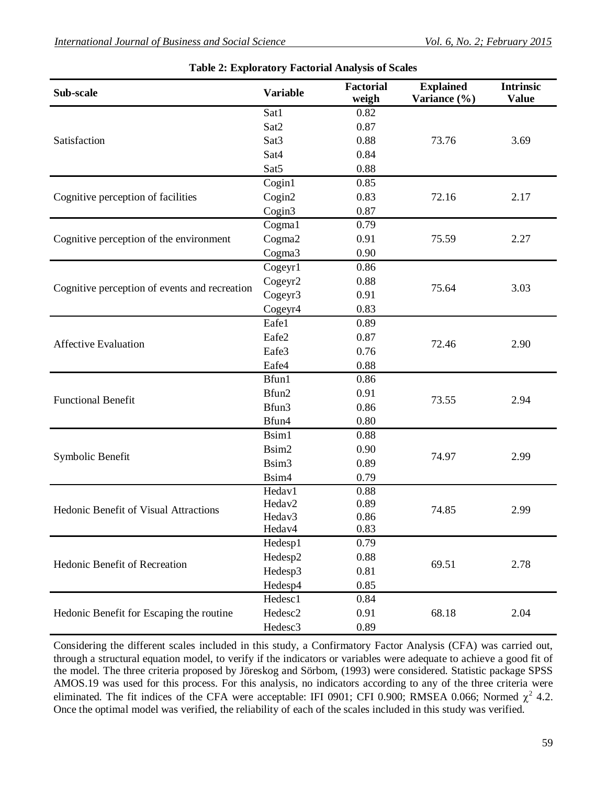| Sub-scale                                     | <b>Variable</b>     | Factorial<br>weigh | <b>Explained</b><br>Variance (%) | <b>Intrinsic</b><br><b>Value</b> |
|-----------------------------------------------|---------------------|--------------------|----------------------------------|----------------------------------|
|                                               | Sat1                | 0.82               | 73.76                            | 3.69                             |
|                                               | Sat2                | 0.87               |                                  |                                  |
| Satisfaction                                  | Sat <sub>3</sub>    | 0.88               |                                  |                                  |
|                                               | Sat4                | 0.84               |                                  |                                  |
|                                               | Sat <sub>5</sub>    | 0.88               |                                  |                                  |
|                                               | Cogin1              | 0.85               |                                  |                                  |
| Cognitive perception of facilities            | Cogin2              | 0.83               | 72.16                            | 2.17                             |
|                                               | Cogin3              | 0.87               |                                  |                                  |
|                                               | Cogma1              | 0.79               | 75.59                            | 2.27                             |
| Cognitive perception of the environment       | Cogma2              | 0.91               |                                  |                                  |
|                                               | Cogma3              | 0.90               |                                  |                                  |
|                                               | Cogeyr1             | 0.86               |                                  | 3.03                             |
|                                               | Cogeyr2             | 0.88               |                                  |                                  |
| Cognitive perception of events and recreation | Cogeyr3             | 0.91               | 75.64                            |                                  |
|                                               | Cogeyr4             | 0.83               |                                  |                                  |
|                                               | Eafe1               | 0.89               | 72.46                            | 2.90                             |
|                                               | Eafe2               | 0.87               |                                  |                                  |
| <b>Affective Evaluation</b>                   | Eafe3               | 0.76               |                                  |                                  |
|                                               | Eafe4               | 0.88               |                                  |                                  |
|                                               | Bfun1               | 0.86               | 73.55                            |                                  |
|                                               | Bfun2               | 0.91               |                                  |                                  |
| <b>Functional Benefit</b>                     | Bfun3               | 0.86               |                                  | 2.94                             |
|                                               | Bfun4               | 0.80               |                                  |                                  |
|                                               | Bsim1               | 0.88               | 74.97                            | 2.99                             |
|                                               | Bsim2               | 0.90               |                                  |                                  |
| Symbolic Benefit                              | Bsim <sub>3</sub>   | 0.89               |                                  |                                  |
|                                               | Bsim4               | 0.79               |                                  |                                  |
|                                               | Hedav1              | 0.88               | 74.85                            | 2.99                             |
| Hedonic Benefit of Visual Attractions         | Hedav2              | 0.89               |                                  |                                  |
|                                               | Hedav <sub>3</sub>  | 0.86               |                                  |                                  |
|                                               | Hedav4              | 0.83               |                                  |                                  |
|                                               | Hedesp1             | 0.79               | 69.51                            |                                  |
| Hedonic Benefit of Recreation                 | Hedesp2             | 0.88               |                                  | 2.78                             |
|                                               | Hedesp3             | 0.81               |                                  |                                  |
|                                               | Hedesp4             | 0.85               |                                  |                                  |
|                                               | Hedesc1             | 0.84               |                                  |                                  |
| Hedonic Benefit for Escaping the routine      | Hedesc2             | 0.91               | 68.18                            | 2.04                             |
|                                               | Hedesc <sub>3</sub> | 0.89               |                                  |                                  |

### **Table 2: Exploratory Factorial Analysis of Scales**

Considering the different scales included in this study, a Confirmatory Factor Analysis (CFA) was carried out, through a structural equation model, to verify if the indicators or variables were adequate to achieve a good fit of the model. The three criteria proposed by Jöreskog and Sörbom, (1993) were considered. Statistic package SPSS AMOS.19 was used for this process. For this analysis, no indicators according to any of the three criteria were eliminated. The fit indices of the CFA were acceptable: IFI 0901; CFI 0.900; RMSEA 0.066; Normed  $\chi^2$  4.2. Once the optimal model was verified, the reliability of each of the scales included in this study was verified.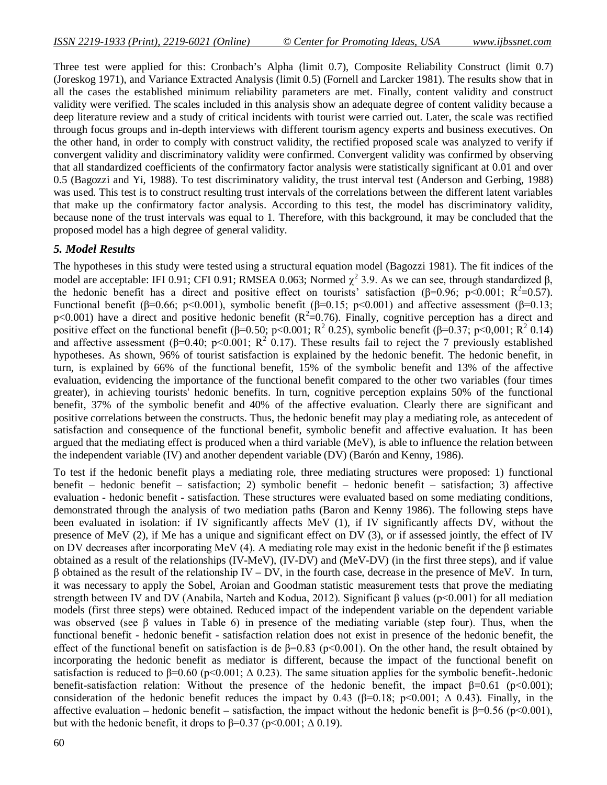Three test were applied for this: Cronbach's Alpha (limit 0.7), Composite Reliability Construct (limit 0.7) (Joreskog 1971), and Variance Extracted Analysis (limit 0.5) (Fornell and Larcker 1981). The results show that in all the cases the established minimum reliability parameters are met. Finally, content validity and construct validity were verified. The scales included in this analysis show an adequate degree of content validity because a deep literature review and a study of critical incidents with tourist were carried out. Later, the scale was rectified through focus groups and in-depth interviews with different tourism agency experts and business executives. On the other hand, in order to comply with construct validity, the rectified proposed scale was analyzed to verify if convergent validity and discriminatory validity were confirmed. Convergent validity was confirmed by observing that all standardized coefficients of the confirmatory factor analysis were statistically significant at 0.01 and over 0.5 (Bagozzi and Yi, 1988). To test discriminatory validity, the trust interval test (Anderson and Gerbing, 1988) was used. This test is to construct resulting trust intervals of the correlations between the different latent variables that make up the confirmatory factor analysis. According to this test, the model has discriminatory validity, because none of the trust intervals was equal to 1. Therefore, with this background, it may be concluded that the proposed model has a high degree of general validity.

### *5. Model Results*

The hypotheses in this study were tested using a structural equation model (Bagozzi 1981). The fit indices of the model are acceptable: IFI 0.91; CFI 0.91; RMSEA 0.063; Normed  $\chi^2$  3.9. As we can see, through standardized β, the hedonic benefit has a direct and positive effect on tourists' satisfaction ( $\beta$ =0.96; p<0.001; R<sup>2</sup>=0.57). Functional benefit (β=0.66; p<0.001), symbolic benefit (β=0.15; p<0.001) and affective assessment (β=0.13;  $p<0.001$ ) have a direct and positive hedonic benefit ( $R^2=0.76$ ). Finally, cognitive perception has a direct and positive effect on the functional benefit ( $\beta$ =0.50; p<0.001; R<sup>2</sup> 0.25), symbolic benefit ( $\beta$ =0.37; p<0,001; R<sup>2</sup> 0.14) and affective assessment ( $\beta$ =0.40; p<0.001; R<sup>2</sup> 0.17). These results fail to reject the 7 previously established hypotheses. As shown, 96% of tourist satisfaction is explained by the hedonic benefit. The hedonic benefit, in turn, is explained by 66% of the functional benefit, 15% of the symbolic benefit and 13% of the affective evaluation, evidencing the importance of the functional benefit compared to the other two variables (four times greater), in achieving tourists' hedonic benefits. In turn, cognitive perception explains 50% of the functional benefit, 37% of the symbolic benefit and 40% of the affective evaluation. Clearly there are significant and positive correlations between the constructs. Thus, the hedonic benefit may play a mediating role, as antecedent of satisfaction and consequence of the functional benefit, symbolic benefit and affective evaluation. It has been argued that the mediating effect is produced when a third variable (MeV), is able to influence the relation between the independent variable (IV) and another dependent variable (DV) (Barón and Kenny, 1986).

To test if the hedonic benefit plays a mediating role, three mediating structures were proposed: 1) functional benefit – hedonic benefit – satisfaction; 2) symbolic benefit – hedonic benefit – satisfaction; 3) affective evaluation - hedonic benefit - satisfaction. These structures were evaluated based on some mediating conditions, demonstrated through the analysis of two mediation paths (Baron and Kenny 1986). The following steps have been evaluated in isolation: if IV significantly affects MeV (1), if IV significantly affects DV, without the presence of MeV (2), if Me has a unique and significant effect on DV (3), or if assessed jointly, the effect of IV on DV decreases after incorporating MeV (4). A mediating role may exist in the hedonic benefit if the  $\beta$  estimates obtained as a result of the relationships (IV-MeV), (IV-DV) and (MeV-DV) (in the first three steps), and if value β obtained as the result of the relationship IV – DV, in the fourth case, decrease in the presence of MeV. In turn, it was necessary to apply the Sobel, Aroian and Goodman statistic measurement tests that prove the mediating strength between IV and DV (Anabila, Narteh and Kodua, 2012). Significant β values (p<0.001) for all mediation models (first three steps) were obtained. Reduced impact of the independent variable on the dependent variable was observed (see  $\beta$  values in Table 6) in presence of the mediating variable (step four). Thus, when the functional benefit - hedonic benefit - satisfaction relation does not exist in presence of the hedonic benefit, the effect of the functional benefit on satisfaction is de  $\beta$ =0.83 (p<0.001). On the other hand, the result obtained by incorporating the hedonic benefit as mediator is different, because the impact of the functional benefit on satisfaction is reduced to  $\beta$ =0.60 (p<0.001;  $\Delta$  0.23). The same situation applies for the symbolic benefit-.hedonic benefit-satisfaction relation: Without the presence of the hedonic benefit, the impact β=0.61 (p<0.001); consideration of the hedonic benefit reduces the impact by 0.43 ( $\beta$ =0.18; p<0.001;  $\Delta$  0.43). Finally, in the affective evaluation – hedonic benefit – satisfaction, the impact without the hedonic benefit is  $\beta$ =0.56 (p<0.001), but with the hedonic benefit, it drops to  $\beta$ =0.37 (p<0.001; Δ 0.19).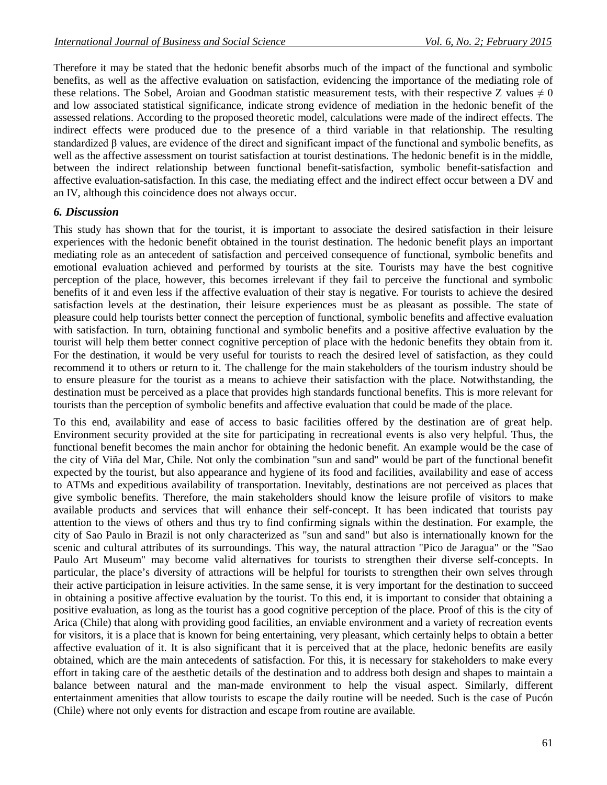Therefore it may be stated that the hedonic benefit absorbs much of the impact of the functional and symbolic benefits, as well as the affective evaluation on satisfaction, evidencing the importance of the mediating role of these relations. The Sobel, Aroian and Goodman statistic measurement tests, with their respective Z values  $\neq 0$ and low associated statistical significance, indicate strong evidence of mediation in the hedonic benefit of the assessed relations. According to the proposed theoretic model, calculations were made of the indirect effects. The indirect effects were produced due to the presence of a third variable in that relationship. The resulting standardized β values, are evidence of the direct and significant impact of the functional and symbolic benefits, as well as the affective assessment on tourist satisfaction at tourist destinations. The hedonic benefit is in the middle, between the indirect relationship between functional benefit-satisfaction, symbolic benefit-satisfaction and affective evaluation-satisfaction. In this case, the mediating effect and the indirect effect occur between a DV and an IV, although this coincidence does not always occur.

### *6. Discussion*

This study has shown that for the tourist, it is important to associate the desired satisfaction in their leisure experiences with the hedonic benefit obtained in the tourist destination. The hedonic benefit plays an important mediating role as an antecedent of satisfaction and perceived consequence of functional, symbolic benefits and emotional evaluation achieved and performed by tourists at the site. Tourists may have the best cognitive perception of the place, however, this becomes irrelevant if they fail to perceive the functional and symbolic benefits of it and even less if the affective evaluation of their stay is negative. For tourists to achieve the desired satisfaction levels at the destination, their leisure experiences must be as pleasant as possible. The state of pleasure could help tourists better connect the perception of functional, symbolic benefits and affective evaluation with satisfaction. In turn, obtaining functional and symbolic benefits and a positive affective evaluation by the tourist will help them better connect cognitive perception of place with the hedonic benefits they obtain from it. For the destination, it would be very useful for tourists to reach the desired level of satisfaction, as they could recommend it to others or return to it. The challenge for the main stakeholders of the tourism industry should be to ensure pleasure for the tourist as a means to achieve their satisfaction with the place. Notwithstanding, the destination must be perceived as a place that provides high standards functional benefits. This is more relevant for tourists than the perception of symbolic benefits and affective evaluation that could be made of the place.

To this end, availability and ease of access to basic facilities offered by the destination are of great help. Environment security provided at the site for participating in recreational events is also very helpful. Thus, the functional benefit becomes the main anchor for obtaining the hedonic benefit. An example would be the case of the city of Viña del Mar, Chile. Not only the combination "sun and sand" would be part of the functional benefit expected by the tourist, but also appearance and hygiene of its food and facilities, availability and ease of access to ATMs and expeditious availability of transportation. Inevitably, destinations are not perceived as places that give symbolic benefits. Therefore, the main stakeholders should know the leisure profile of visitors to make available products and services that will enhance their self-concept. It has been indicated that tourists pay attention to the views of others and thus try to find confirming signals within the destination. For example, the city of Sao Paulo in Brazil is not only characterized as "sun and sand" but also is internationally known for the scenic and cultural attributes of its surroundings. This way, the natural attraction "Pico de Jaragua" or the "Sao Paulo Art Museum" may become valid alternatives for tourists to strengthen their diverse self-concepts. In particular, the place's diversity of attractions will be helpful for tourists to strengthen their own selves through their active participation in leisure activities. In the same sense, it is very important for the destination to succeed in obtaining a positive affective evaluation by the tourist. To this end, it is important to consider that obtaining a positive evaluation, as long as the tourist has a good cognitive perception of the place. Proof of this is the city of Arica (Chile) that along with providing good facilities, an enviable environment and a variety of recreation events for visitors, it is a place that is known for being entertaining, very pleasant, which certainly helps to obtain a better affective evaluation of it. It is also significant that it is perceived that at the place, hedonic benefits are easily obtained, which are the main antecedents of satisfaction. For this, it is necessary for stakeholders to make every effort in taking care of the aesthetic details of the destination and to address both design and shapes to maintain a balance between natural and the man-made environment to help the visual aspect. Similarly, different entertainment amenities that allow tourists to escape the daily routine will be needed. Such is the case of Pucón (Chile) where not only events for distraction and escape from routine are available.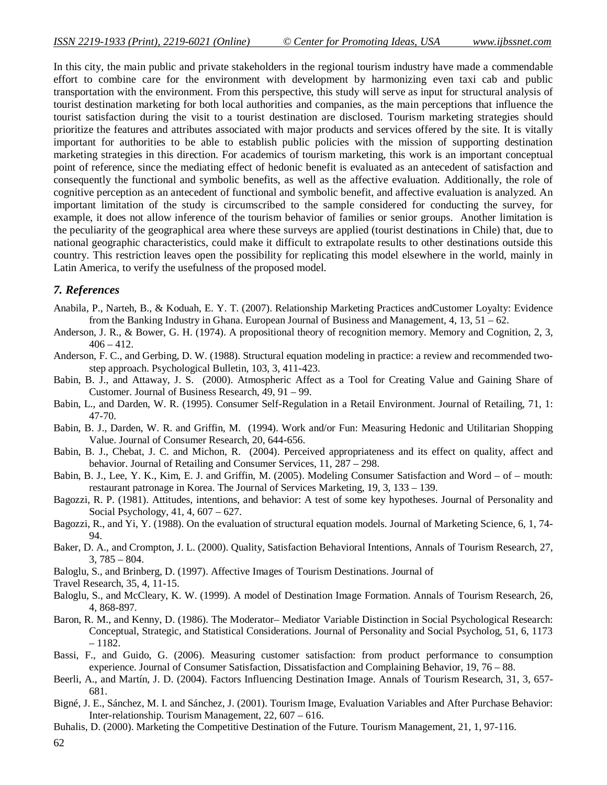In this city, the main public and private stakeholders in the regional tourism industry have made a commendable effort to combine care for the environment with development by harmonizing even taxi cab and public transportation with the environment. From this perspective, this study will serve as input for structural analysis of tourist destination marketing for both local authorities and companies, as the main perceptions that influence the tourist satisfaction during the visit to a tourist destination are disclosed. Tourism marketing strategies should prioritize the features and attributes associated with major products and services offered by the site. It is vitally important for authorities to be able to establish public policies with the mission of supporting destination marketing strategies in this direction. For academics of tourism marketing, this work is an important conceptual point of reference, since the mediating effect of hedonic benefit is evaluated as an antecedent of satisfaction and consequently the functional and symbolic benefits, as well as the affective evaluation. Additionally, the role of cognitive perception as an antecedent of functional and symbolic benefit, and affective evaluation is analyzed. An important limitation of the study is circumscribed to the sample considered for conducting the survey, for example, it does not allow inference of the tourism behavior of families or senior groups. Another limitation is the peculiarity of the geographical area where these surveys are applied (tourist destinations in Chile) that, due to national geographic characteristics, could make it difficult to extrapolate results to other destinations outside this country. This restriction leaves open the possibility for replicating this model elsewhere in the world, mainly in Latin America, to verify the usefulness of the proposed model.

### *7. References*

- Anabila, P., Narteh, B., & Koduah, E. Y. T. (2007). Relationship Marketing Practices andCustomer Loyalty: Evidence from the Banking Industry in Ghana. European Journal of Business and Management, 4, 13, 51 – 62.
- Anderson, J. R., & Bower, G. H. (1974). A propositional theory of recognition memory. Memory and Cognition, 2, 3,  $406 - 412.$
- Anderson, F. C., and Gerbing, D. W. (1988). Structural equation modeling in practice: a review and recommended twostep approach. Psychological Bulletin, 103, 3, 411-423.
- Babin, B. J., and Attaway, J. S. (2000). Atmospheric Affect as a Tool for Creating Value and Gaining Share of Customer. Journal of Business Research, 49, 91 – 99.
- Babin, L., and Darden, W. R. (1995). Consumer Self-Regulation in a Retail Environment. Journal of Retailing, 71, 1: 47-70.
- Babin, B. J., Darden, W. R. and Griffin, M. (1994). Work and/or Fun: Measuring Hedonic and Utilitarian Shopping Value. Journal of Consumer Research, 20, 644-656.
- Babin, B. J., Chebat, J. C. and Michon, R. (2004). Perceived appropriateness and its effect on quality, affect and behavior. Journal of Retailing and Consumer Services, 11, 287 – 298.
- Babin, B. J., Lee, Y. K., Kim, E. J. and Griffin, M. (2005). Modeling Consumer Satisfaction and Word of mouth: restaurant patronage in Korea. The Journal of Services Marketing, 19, 3, 133 – 139.
- Bagozzi, R. P. (1981). Attitudes, intentions, and behavior: A test of some key hypotheses. Journal of Personality and Social Psychology, 41, 4, 607 – 627.
- Bagozzi, R., and Yi, Y. (1988). On the evaluation of structural equation models. Journal of Marketing Science, 6, 1, 74- 94.
- Baker, D. A., and Crompton, J. L. (2000). Quality, Satisfaction Behavioral Intentions, Annals of Tourism Research, 27, 3, 785 – 804.
- Baloglu, S., and Brinberg, D. (1997). Affective Images of Tourism Destinations. Journal of

Travel Research, 35, 4, 11-15.

- Baloglu, S., and McCleary, K. W. (1999). A model of Destination Image Formation. Annals of Tourism Research, 26, 4, 868-897.
- Baron, R. M., and Kenny, D. (1986). The Moderator– Mediator Variable Distinction in Social Psychological Research: Conceptual, Strategic, and Statistical Considerations. Journal of Personality and Social Psycholog, 51, 6, 1173 – 1182.
- Bassi, F., and Guido, G. (2006). Measuring customer satisfaction: from product performance to consumption experience. Journal of Consumer Satisfaction, Dissatisfaction and Complaining Behavior, 19, 76 – 88.
- Beerli, A., and Martín, J. D. (2004). Factors Influencing Destination Image. Annals of Tourism Research, 31, 3, 657- 681.
- Bigné, J. E., Sánchez, M. I. and Sánchez, J. (2001). Tourism Image, Evaluation Variables and After Purchase Behavior: Inter-relationship. Tourism Management, 22, 607 – 616.
- Buhalis, D. (2000). Marketing the Competitive Destination of the Future. Tourism Management, 21, 1, 97-116.

62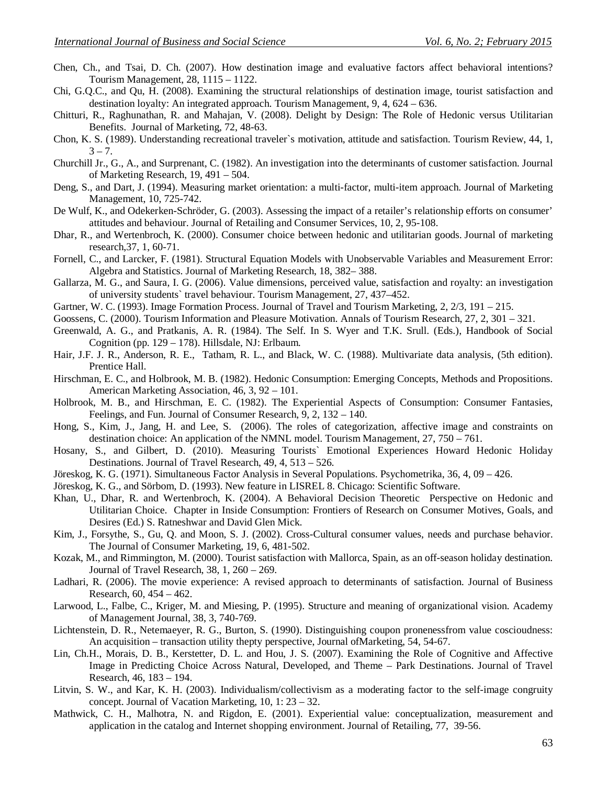- Chen, Ch., and Tsai, D. Ch. (2007). How destination image and evaluative factors affect behavioral intentions? Tourism Management, 28, 1115 – 1122.
- Chi, G.Q.C., and Qu, H. (2008). Examining the structural relationships of destination image, tourist satisfaction and destination loyalty: An integrated approach. Tourism Management, 9, 4, 624 – 636.
- Chitturi, R., Raghunathan, R. and Mahajan, V. (2008). Delight by Design: The Role of Hedonic versus Utilitarian Benefits. Journal of Marketing, 72, 48-63.
- Chon, K. S. (1989). Understanding recreational traveler`s motivation, attitude and satisfaction. Tourism Review, 44, 1,  $3 - 7.$
- Churchill Jr., G., A., and Surprenant, C. (1982). An investigation into the determinants of customer satisfaction. Journal of Marketing Research, 19, 491 – 504.
- Deng, S., and Dart, J. (1994). Measuring market orientation: a multi-factor, multi-item approach. Journal of Marketing Management, 10, 725-742.
- De Wulf, K., and Odekerken-Schröder, G. (2003). Assessing the impact of a retailer's relationship efforts on consumer' attitudes and behaviour. Journal of Retailing and Consumer Services, 10, 2, 95-108.
- Dhar, R., and Wertenbroch, K. (2000). Consumer choice between hedonic and utilitarian goods. Journal of marketing research,37, 1, 60-71.
- Fornell, C., and Larcker, F. (1981). Structural Equation Models with Unobservable Variables and Measurement Error: Algebra and Statistics. Journal of Marketing Research, 18, 382– 388.
- Gallarza, M. G., and Saura, I. G. (2006). Value dimensions, perceived value, satisfaction and royalty: an investigation of university students` travel behaviour. Tourism Management, 27, 437–452.
- Gartner, W. C. (1993). Image Formation Process. Journal of Travel and Tourism Marketing, 2, 2/3, 191 215.
- Goossens, C. (2000). Tourism Information and Pleasure Motivation. Annals of Tourism Research, 27, 2, 301 321.
- Greenwald, A. G., and Pratkanis, A. R. (1984). The Self. In S. Wyer and T.K. Srull. (Eds.), Handbook of Social Cognition (pp. 129 – 178). Hillsdale, NJ: Erlbaum.
- Hair, J.F. J. R., Anderson, R. E., Tatham, R. L., and Black, W. C. (1988). Multivariate data analysis, (5th edition). Prentice Hall.
- Hirschman, E. C., and Holbrook, M. B. (1982). Hedonic Consumption: Emerging Concepts, Methods and Propositions. American Marketing Association, 46, 3, 92 – 101.
- Holbrook, M. B., and Hirschman, E. C. (1982). The Experiential Aspects of Consumption: Consumer Fantasies, Feelings, and Fun. Journal of Consumer Research, 9, 2, 132 – 140.
- Hong, S., Kim, J., Jang, H. and Lee, S. (2006). The roles of categorization, affective image and constraints on destination choice: An application of the NMNL model. Tourism Management, 27, 750 – 761.
- Hosany, S., and Gilbert, D. (2010). Measuring Tourists` Emotional Experiences Howard Hedonic Holiday Destinations. Journal of Travel Research, 49, 4, 513 – 526.
- Jöreskog, K. G. (1971). Simultaneous Factor Analysis in Several Populations. Psychometrika, 36, 4, 09 426.
- Jöreskog, K. G., and Sörbom, D. (1993). New feature in LISREL 8. Chicago: Scientific Software.
- Khan, U., Dhar, R. and Wertenbroch, K. (2004). A Behavioral Decision Theoretic Perspective on Hedonic and Utilitarian Choice. Chapter in Inside Consumption: Frontiers of Research on Consumer Motives, Goals, and Desires (Ed.) S. Ratneshwar and David Glen Mick.
- Kim, J., Forsythe, S., Gu, Q. and Moon, S. J. (2002). Cross-Cultural consumer values, needs and purchase behavior. The Journal of Consumer Marketing, 19, 6, 481-502.
- Kozak, M., and Rimmington, M. (2000). Tourist satisfaction with Mallorca, Spain, as an off-season holiday destination. Journal of Travel Research, 38, 1, 260 – 269.
- Ladhari, R. (2006). The movie experience: A revised approach to determinants of satisfaction. Journal of Business Research, 60, 454 – 462.
- Larwood, L., Falbe, C., Kriger, M. and Miesing, P. (1995). Structure and meaning of organizational vision. Academy of Management Journal, 38, 3, 740-769.
- Lichtenstein, D. R., Netemaeyer, R. G., Burton, S. (1990). Distinguishing coupon pronenessfrom value coscioudness: An acquisition – transaction utility thepty perspective, Journal ofMarketing, 54, 54-67.
- Lin, Ch.H., Morais, D. B., Kerstetter, D. L. and Hou, J. S. (2007). Examining the Role of Cognitive and Affective Image in Predicting Choice Across Natural, Developed, and Theme – Park Destinations. Journal of Travel Research, 46, 183 – 194.
- Litvin, S. W., and Kar, K. H. (2003). Individualism/collectivism as a moderating factor to the self-image congruity concept. Journal of Vacation Marketing, 10, 1: 23 – 32.
- Mathwick, C. H., Malhotra, N. and Rigdon, E. (2001). Experiential value: conceptualization, measurement and application in the catalog and Internet shopping environment. Journal of Retailing, 77, 39-56.